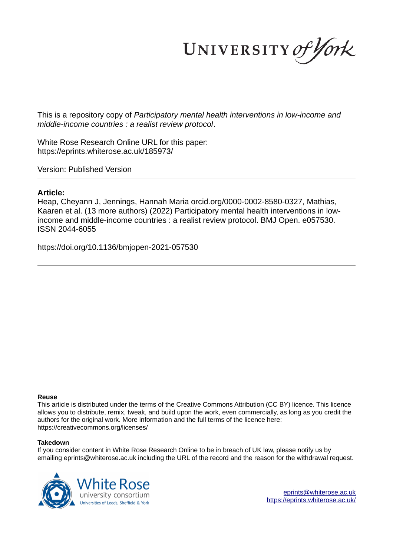UNIVERSITY of York

This is a repository copy of *Participatory mental health interventions in low-income and middle-income countries : a realist review protocol*.

White Rose Research Online URL for this paper: https://eprints.whiterose.ac.uk/185973/

Version: Published Version

# **Article:**

Heap, Cheyann J, Jennings, Hannah Maria orcid.org/0000-0002-8580-0327, Mathias, Kaaren et al. (13 more authors) (2022) Participatory mental health interventions in lowincome and middle-income countries : a realist review protocol. BMJ Open. e057530. ISSN 2044-6055

https://doi.org/10.1136/bmjopen-2021-057530

## **Reuse**

This article is distributed under the terms of the Creative Commons Attribution (CC BY) licence. This licence allows you to distribute, remix, tweak, and build upon the work, even commercially, as long as you credit the authors for the original work. More information and the full terms of the licence here: https://creativecommons.org/licenses/

## **Takedown**

If you consider content in White Rose Research Online to be in breach of UK law, please notify us by emailing eprints@whiterose.ac.uk including the URL of the record and the reason for the withdrawal request.

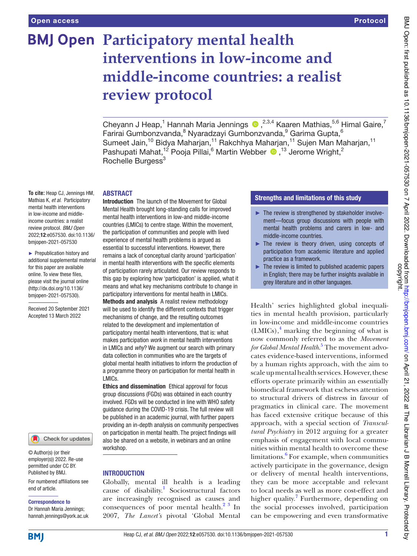# **BMJ Open Participatory mental health** interventions in low-income and middle-income countries: a realist **review protocol**

Cheyann J Heap,<sup>1</sup> Hannah Maria Jennings  $\bullet$  ,<sup>2,3,4</sup> Kaaren Mathias,<sup>5,6</sup> Himal Gaire,<sup>7</sup> Farirai Gumbonzvanda,<sup>8</sup> Nyaradzayi Gumbonzvanda,<sup>9</sup> Garima Gupta,<sup>6</sup> Sumeet Jain,<sup>10</sup> Bidya Maharjan,<sup>11</sup> Rakchhya Maharjan,<sup>11</sup> Sujen Man Maharjan,<sup>11</sup> Pashupati Mahat,<sup>12</sup> Pooja Pillai,<sup>6</sup> Martin Webber <sup>13</sup> Jerome Wright,<sup>2</sup> Rochelle Burgess<sup>3</sup>

## ABSTRACT

**To cite:** Heap CJ, Jennings HM, Mathias K, et al. Participatory mental health interventions in low-income and middleincome countries: a realist review protocol. BMJ Open 2022;12:e057530. doi:10.1136/ bmjopen-2021-057530

► Prepublication history and additional supplemental material for this paper are available online. To view these files, please visit the journal online (http://dx.doi.org/10.1136/ bmjopen-2021-057530).

Received 20 September 2021 Accepted 13 March 2022



© Author(s) (or their employer(s)) 2022. Re-use permitted under CC BY. Published by BMJ.

For numbered affiliations see end of article.

#### Correspondence to

Dr Hannah Maria Jennings; hannah. jennings@ york. ac. uk

Introduction The launch of the Movement for Global Mental Health brought long- standing calls for improved mental health interventions in low-and middle-income countries (LMICs) to centre stage. Within the movement, the participation of communities and people with lived experience of mental health problems is argued as essential to successful interventions. However, there remains a lack of conceptual clarity around 'participation' in mental health interventions with the specific elements of participation rarely articulated. Our review responds to this gap by exploring how 'participation' is applied, what it means and what key mechanisms contribute to change in participatory interventions for mental health in LMICs. Methods and analysis A realist review methodology will be used to identify the different contexts that trigger mechanisms of change, and the resulting outcomes related to the development and implementation of participatory mental health interventions, that is: what makes participation work in mental health interventions in LMICs and why? We augment our search with primary data collection in communities who are the targets of global mental health initiatives to inform the production of a programme theory on participation for mental health in LMICs.

Ethics and dissemination Ethical approval for focus group discussions (FGDs) was obtained in each country involved. FGDs will be conducted in line with WHO safety guidance during the COVID- 19 crisis. The full review will be published in an academic journal, with further papers providing an in- depth analysis on community perspectives on participation in mental health. The project findings will also be shared on a website, in webinars and an online workshop.

# **INTRODUCTION**

Globally, mental ill health is a leading cause of disability.<sup>1</sup> Sociostructural factors are increasingly recognised as causes and consequences of poor mental health. $2^3$  In 2007, *The Lancet's* pivotal 'Global Mental

# Strengths and limitations of this study

- ► The review is strengthened by stakeholder involvement—focus group discussions with people with mental health problems and carers in low- and middle- income countries.
- ► The review is theory driven, using concepts of participation from academic literature and applied practice as a framework.
- The review is limited to published academic papers in English; there may be further insights available in grey literature and in other languages.

Health' series highlighted global inequalities in mental health provision, particularly in low-income and middle-income countries  $(LMICs)$ ,<sup>4</sup> marking the beginning of what is now commonly referred to as the *Movement for Global Mental Health*. 5 The movement advocates evidence-based interventions, informed by a human rights approach, with the aim to scale up mental health services. However, these efforts operate primarily within an essentially biomedical framework that eschews attention to structural drivers of distress in favour of pragmatics in clinical care. The movement has faced extensive critique because of this approach, with a special section of *Transcultural Psychiatry* in 2012 arguing for a greater emphasis of engagement with local communities within mental health to overcome these limitations.<sup>6</sup> For example, when communities actively participate in the governance, design or delivery of mental health interventions, they can be more acceptable and relevant to local needs as well as more cost-effect and higher quality.<sup>7</sup> Furthermore, depending on the social processes involved, participation can be empowering and even transformative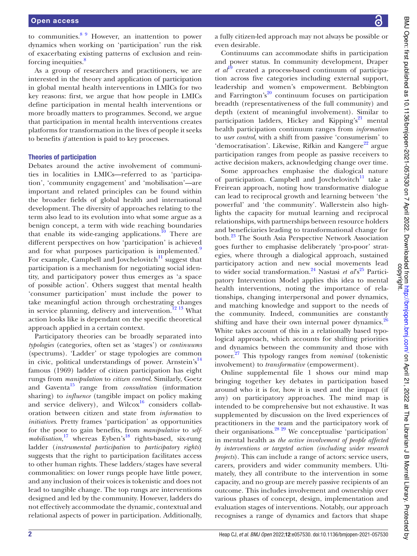to communities.<sup>8 9</sup> However, an inattention to power dynamics when working on 'participation' run the risk of exacerbating existing patterns of exclusion and reinforcing inequities.<sup>8</sup>

As a group of researchers and practitioners, we are interested in the theory and application of participation in global mental health interventions in LMICs for two key reasons: first, we argue that how people in LMICs define participation in mental health interventions or more broadly matters to programmes. Second, we argue that participation in mental health interventions creates platforms for transformation in the lives of people it seeks to benefits *if* attention is paid to key processes.

#### Theories of participation

Debates around the active involvement of communities in localities in LMICs—referred to as 'participation', 'community engagement' and 'mobilisation'—are important and related principles can be found within the broader fields of global health and international development. The diversity of approaches relating to the term also lead to its evolution into what some argue as a benign concept, a term with wide reaching boundaries that enable its wide-ranging applications.<sup>10</sup> There are different perspectives on how 'participation' is achieved and for what purposes participation is implemented.<sup>9</sup> For example, Campbell and Jovchelovitch $11$  suggest that participation is a mechanism for negotiating social identity, and participatory power thus emerges as 'a space of possible action'. Others suggest that mental health 'consumer participation' must include the power to take meaningful action through orchestrating changes in service planning, delivery and intervention.<sup>12 13</sup> What action looks like is dependant on the specific theoretical approach applied in a certain context.

Participatory theories can be broadly separated into *typologies* (categories, often set as 'stages') or *continuums* (spectrums). 'Ladder' or stage typologies are common in civic, political understandings of power. Arnstein's<sup>14</sup> famous (1969) ladder of citizen participation has eight rungs from *manipulation* to *citizen control*. Similarly, Goetz and Gaventa<sup>15</sup> range from *consultation* (information sharing) to *influence* (tangible impact on policy making and service delivery), and Wilcox $^{16}$  considers collaboration between citizen and state from *information* to *initiatives*. Pretty frames 'participation' as opportunities for the poor to gain benefits, from *manipulative* to *self*mobilisation,<sup>17</sup> whereas Eyben's<sup>18</sup> rights-based, six-rung ladder (*instrumental participation* to *participatory rights*) suggests that the right to participation facilitates access to other human rights. These ladders/stages have several commonalities: on lower rungs people have little power, and any inclusion of their voices is tokenistic and does not lead to tangible change. The top rungs are interventions designed and led by the community. However, ladders do not effectively accommodate the dynamic, contextual and relational aspects of power in participation. Additionally,

BMJ Open: first published as 10.1136/bmjopen-2021-057530 on 7 April 2022. Downloaded from http://bmjopen.bmj.com/ on April 21, 2022 at The Librarian J B Morrell Library. Protected by<br>copyright. BMJ Open: first published as 10.1136/bmjopen-2021-05/530 on 7 April 2022. Downloaded from Library. Protected by as 10.12530 on 7 April 21, 2022. Downloaded from published as 10.1136/bmjopen-2021-05750 on 7 April 21, 2022 a

a fully citizen- led approach may not always be possible or even desirable.

Continuums can accommodate shifts in participation and power status. In community development, Draper *et al*<sup>19</sup> created a process-based continuum of participation across five categories including external support, leadership and women's empowerment. Bebbington and Farrington's<sup>20</sup> continuum focuses on participation breadth (representativeness of the full community) and depth (extent of meaningful involvement). Similar to participation ladders, Hickey and Kipping's<sup>21</sup> mental health participation continuum ranges from *information* to *user control*, with a shift from passive 'consumerism' to 'democratisation'. Likewise, Rifkin and Kangere<sup>22</sup> argue participation ranges from people as passive receivers to active decision makers, acknowledging change over time.

Some approaches emphasise the dialogical nature of participation. Campbell and Jovchelovitch $11$  take a Freirean approach, noting how transformative dialogue can lead to reciprocal growth and learning between 'the powerful' and 'the community'. Wallerstein also highlights the capacity for mutual learning and reciprocal relationships, with partnerships between resource holders and beneficiaries leading to transformational change for both.<sup>23</sup> The South Asia Perspective Network Association goes further to emphasise deliberately 'pro- poor' strategies, where through a dialogical approach, sustained participatory action and new social movements lead to wider social transformation.<sup>24</sup> Nastasi *et al*<sup>825</sup> Participatory Intervention Model applies this idea to mental health interventions, noting the importance of relationships, changing interpersonal and power dynamics, and matching knowledge and support to the needs of the community. Indeed, communities are constantly shifting and have their own internal power dynamics. $26$ White takes account of this in a relationally based typological approach, which accounts for shifting priorities and dynamics between the community and those with power. <sup>27</sup> This typology ranges from *nominal* (tokenistic involvement) to *transformative* (empowerment).

Online supplemental file 1 shows our mind map bringing together key debates in participation based around who it is for, how it is used and the impact (if any) on participatory approaches. The mind map is intended to be comprehensive but not exhaustive. It was supplemented by discussion on the lived experiences of practitioners in the team and the participatory work of their organisations. $^{28}$   $^{29}$  We conceptualise 'participation' in mental health as *the active involvement of people affected by interventions or targeted action (including wider research projects*). This can include a range of actors: service users, carers, providers and wider community members. Ultimately, they all contribute to the intervention in some capacity, and no group are merely passive recipients of an outcome. This includes involvement and ownership over various phases of concept, design, implementation and evaluation stages of interventions. Notably, our approach recognises a range of dynamics and factors that shape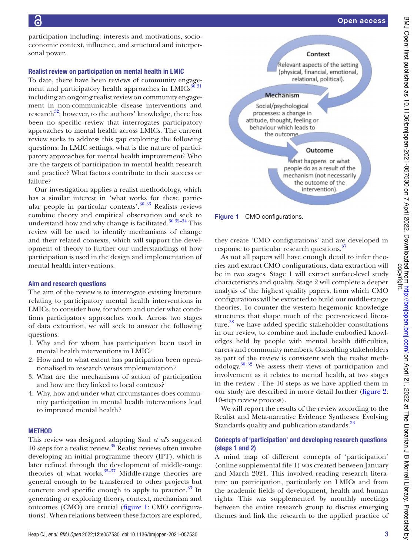participation including: interests and motivations, socioeconomic context, influence, and structural and interpersonal power.

## Realist review on participation on mental health in LMIC

To date, there have been reviews of community engagement and participatory health approaches in  $LMICs<sup>30 31</sup>$ including an ongoing realist review on community engagement in non-communicable disease interventions and research $^{32}$ ; however, to the authors' knowledge, there has been no specific review that interrogates participatory approaches to mental health across LMICs. The current review seeks to address this gap exploring the following questions: In LMIC settings, what is the nature of participatory approaches for mental health improvement? Who are the targets of participation in mental health research and practice? What factors contribute to their success or failure?

Our investigation applies a realist methodology, which has a similar interest in 'what works for these particular people in particular contexts'.<sup>30</sup> <sup>33</sup> Realists reviews combine theory and empirical observation and seek to understand how and why change is facilitated.<sup>30 32-34</sup> This review will be used to identify mechanisms of change and their related contexts, which will support the development of theory to further our understandings of how participation is used in the design and implementation of mental health interventions.

# Aim and research questions

The aim of the review is to interrogate existing literature relating to participatory mental health interventions in LMICs, to consider how, for whom and under what conditions participatory approaches work. Across two stages of data extraction, we will seek to answer the following questions:

- 1. Why and for whom has participation been used in mental health interventions in LMIC?
- 2. How and to what extent has participation been operationalised in research versus implementation?
- 3. What are the mechanisms of action of participation and how are they linked to local contexts?
- 4. Why, how and under what circumstances does community participation in mental health interventions lead to improved mental health?

## **METHOD**

This review was designed adapting Saul *et al*'s suggested 10 steps for a realist review.<sup>35</sup> Realist reviews often involve developing an initial programme theory (IPT), which is later refined through the development of middle-range theories of what works. $35-37$  Middle-range theories are general enough to be transferred to other projects but concrete and specific enough to apply to practice. $33 \text{ In}$ generating or exploring theory, context, mechanism and outcomes (CMO) are crucial (figure 1: CMO configurations). When relations between these factors are explored,



Figure 1 CMO configurations.

they create 'CMO configurations' and are developed in response to particular research questions.<sup>37</sup>

As not all papers will have enough detail to infer theories and extract CMO configurations, data extraction will be in two stages. Stage 1 will extract surface-level study characteristics and quality. Stage 2 will complete a deeper analysis of the highest quality papers, from which CMO configurations will be extracted to build our middle-range theories. To counter the western hegemonic knowledge structures that shape much of the peer-reviewed literature, $38$  we have added specific stakeholder consultations in our review, to combine and include embodied knowledges held by people with mental health difficulties, carers and community members. Consulting stakeholders as part of the review is consistent with the realist methodology.30 32 We assess their views of participation and involvement as it relates to mental health, at two stages in the review . The 10 steps as we have applied them in our study are described in more detail further (figure 2: 10-step review process).

We will report the results of the review according to the Realist and Meta-narrative Evidence Syntheses: Evolving Standards quality and publication standards.<sup>33</sup>

## Concepts of 'participation' and developing research questions (steps 1 and 2)

A mind map of different concepts of 'participation' (online supplemental file 1) was created between January and March 2021. This involved reading research literature on participation, particularly on LMICs and from the academic fields of development, health and human rights. This was supplemented by monthly meetings between the entire research group to discuss emerging themes and link the research to the applied practice of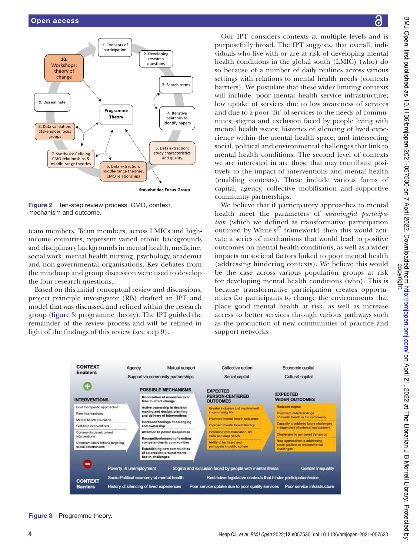

Figure 2 Ten-step review process. CMO, context, mechanism and outcome.

team members. Team members, across LMICs and highincome countries, represent varied ethnic backgrounds and disciplinary backgrounds in mental health, medicine, social work, mental health nursing, psychology, academia and non-governmental organisations. Key debates from the mindmap and group discussion were used to develop the four research questions.

Based on this initial conceptual review and discussions, project principle investigator (RB) drafted an IPT and model that was discussed and refined within the research group (figure 3: programme theory). The IPT guided the remainder of the review process and will be refined in light of the findings of this review (see step 9).

Our IPT considers contexts at multiple levels and is purposefully broad. The IPT suggests, that overall, individuals who live with or are at risk of developing mental health conditions in the global south (LMIC) (who) do so because of a number of daily realities across various settings with relations to mental health needs (contexts barriers). We postulate that these wider limiting contexts will include: poor mental health service infrastructure; low uptake of services due to low awareness of services and due to a poor 'fit' of services to the needs of communities; stigma and exclusion faced by people living with mental health issues; histories of silencing of lived experience within the mental health space; and intersecting social, political and environmental challenges that link to mental health conditions. The second level of contexts we are interested in are those that may contribute positively to the impact of interventions and mental health (enabling contexts). These include various forms of capital, agency, collective mobilisation and supportive community partnerships.

We believe that if participatory approaches to mental health meet the parameters of *meaningful participation* (which we defined as transformative participation outlined by White's<sup>27</sup> framework) then this would activate a series of mechanisms that would lead to positive outcomes on mental health conditions, as well as a wider impacts on societal factors linked to poor mental health (addressing hindering contexts). We believe this would be the case across various population groups at risk for developing mental health conditions (who). This is because transformative participation creates opportunities for participants to change the environments that place good mental health at risk, as well as increase access to better services through various pathways such as the production of new communities of practice and support networks.



Figure 3 Programme theory.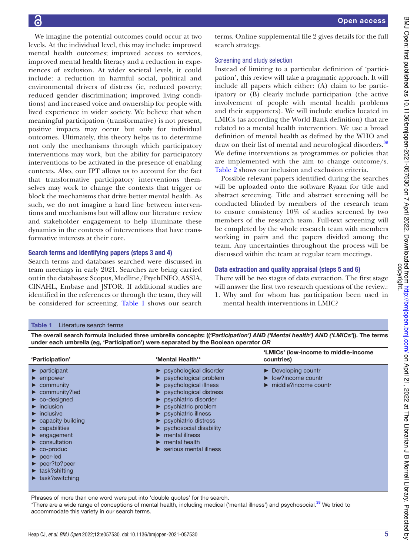We imagine the potential outcomes could occur at two levels. At the individual level, this may include: improved mental health outcomes; improved access to services, improved mental health literacy and a reduction in experiences of exclusion. At wider societal levels, it could include: a reduction in harmful social, political and environmental drivers of distress (ie, reduced poverty; reduced gender discrimination; improved living conditions) and increased voice and ownership for people with lived experience in wider society. We believe that when meaningful participation (transformative) is not present, positive impacts may occur but only for individual outcomes. Ultimately, this theory helps us to determine not only the mechanisms through which participatory interventions may work, but the ability for participatory interventions to be activated in the presence of enabling contexts. Also, our IPT allows us to account for the fact that transformative participatory interventions themselves may work to change the contexts that trigger or block the mechanisms that drive better mental health. As such, we do not imagine a hard line between interventions and mechanisms but will allow our literature review and stakeholder engagement to help illuminate these dynamics in the contexts of interventions that have transformative interests at their core.

#### Search terms and identifying papers (steps 3 and 4)

Search terms and databases searched were discussed in team meetings in early 2021. Searches are being carried out in the databases: Scopus, Medline/PsychINFO, ASSIA, CINAHL, Embase and JSTOR. If additional studies are identified in the references or through the team, they will be considered for screening. Table 1 shows our search

terms. Online supplemental file 2 gives details for the full search strategy.

#### Screening and study selection

Instead of limiting to a particular definition of 'participation', this review will take a pragmatic approach. It will include all papers which either: (A) claim to be participatory or (B) clearly include participation (the active involvement of people with mental health problems and their supporters). We will include studies located in LMICs (as according the World Bank definition) that are related to a mental health intervention. We use a broad definition of mental health as defined by the WHO and draw on their list of mental and neurological disorders.<sup>39</sup> We define interventions as programmes or policies that are implemented with the aim to change outcome/s. Table 2 shows our inclusion and exclusion criteria.

Possible relevant papers identified during the searches will be uploaded onto the software Ryaan for title and abstract screening. Title and abstract screening will be conducted blinded by members of the research team to ensure consistency 10% of studies screened by two members of the research team. Full-text screening will be completed by the whole research team with members working in pairs and the papers divided among the team. Any uncertainties throughout the process will be discussed within the team at regular team meetings.

#### Data extraction and quality appraisal (steps 5 and 6)

There will be two stages of data extraction. The first stage will answer the first two research questions of the review.: 1. Why and for whom has participation been used in mental health interventions in LMIC?

#### Table 1 Literature search terms

The overall search formula included three umbrella concepts: (('Participation') AND ('Mental health') AND ('LMICs')). The terms under each umbrella (eg, 'Participation') were separated by the Boolean operator OR

| 'Participation'                                                                                                                                                                                                                                                                                                                                                                                                                                                                                                                                                                          | 'Mental Health'*                                                                                                                                                                                                                                                                                                                                                                                                                                                          | 'LMICs' (low-income to middle-income<br>countries)                                                                     |
|------------------------------------------------------------------------------------------------------------------------------------------------------------------------------------------------------------------------------------------------------------------------------------------------------------------------------------------------------------------------------------------------------------------------------------------------------------------------------------------------------------------------------------------------------------------------------------------|---------------------------------------------------------------------------------------------------------------------------------------------------------------------------------------------------------------------------------------------------------------------------------------------------------------------------------------------------------------------------------------------------------------------------------------------------------------------------|------------------------------------------------------------------------------------------------------------------------|
| $\blacktriangleright$ participant<br>$\blacktriangleright$ empower<br>$\blacktriangleright$ community<br>$\triangleright$ community?led<br>$\triangleright$ co-designed<br>$\blacktriangleright$ inclusion<br>$\blacktriangleright$ inclusive<br>$\triangleright$ capacity building<br>$\blacktriangleright$ capabilities<br>$\blacktriangleright$ engagement<br>$\blacktriangleright$ consultation<br>$\triangleright$ co-produc<br>$\blacktriangleright$ peer-led<br>$\blacktriangleright$ peer?to?peer<br>$\blacktriangleright$ task?shifting<br>$\blacktriangleright$ task?switching | $\triangleright$ psychological disorder<br>psychological problem<br>psychological illness<br>$\triangleright$ psychological distress<br>$\blacktriangleright$ psychiatric disorder<br>psychiatric problem<br>$\blacktriangleright$ psychiatric illness<br>$\blacktriangleright$ psychiatric distress<br>$\triangleright$ pychosocial disability<br>$\blacktriangleright$ mental illness<br>$\blacktriangleright$ mental health<br>$\triangleright$ serious mental illness | $\triangleright$ Developing countr<br>$\triangleright$ low?income countr<br>$\blacktriangleright$ middle?income countr |

Phrases of more than one word were put into 'double quotes' for the search.

\*There are a wide range of conceptions of mental health, including medical ('mental illness') and psychosocial.<sup>39</sup> We tried to accommodate this variety in our search terms.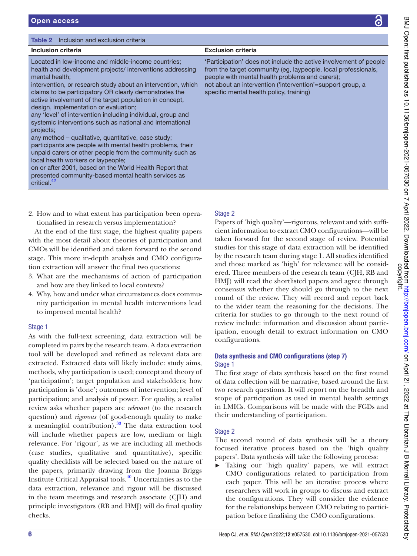| Inclusion criteria                                                                                                                                                                                                                                                                                                                                                                                                                                                                                                                                                                                                                                                                                                                                                                                                                                                           | <b>Exclusion criteria</b>                                                                                                                                                                                                                                                                        |
|------------------------------------------------------------------------------------------------------------------------------------------------------------------------------------------------------------------------------------------------------------------------------------------------------------------------------------------------------------------------------------------------------------------------------------------------------------------------------------------------------------------------------------------------------------------------------------------------------------------------------------------------------------------------------------------------------------------------------------------------------------------------------------------------------------------------------------------------------------------------------|--------------------------------------------------------------------------------------------------------------------------------------------------------------------------------------------------------------------------------------------------------------------------------------------------|
| Located in low-income and middle-income countries;<br>health and development projects/ interventions addressing<br>mental health;<br>intervention, or research study about an intervention, which<br>claims to be participatory OR clearly demonstrates the<br>active involvement of the target population in concept,<br>design, implementation or evaluation;<br>any 'level' of intervention including individual, group and<br>systemic interventions such as national and international<br>projects:<br>any method – qualitative, quantitative, case study;<br>participants are people with mental health problems, their<br>unpaid carers or other people from the community such as<br>local health workers or laypeople;<br>on or after 2001, based on the World Health Report that<br>presented community-based mental health services as<br>critical. <sup>42</sup> | 'Participation' does not include the active involvement of people<br>from the target community (eg. laypeople, local professionals,<br>people with mental health problems and carers);<br>not about an intervention ('intervention'=support group, a<br>specific mental health policy, training) |

2. How and to what extent has participation been operationalised in research versus implementation?

At the end of the first stage, the highest quality papers with the most detail about theories of participation and CMOs will be identified and taken forward to the second stage. This more in- depth analysis and CMO configuration extraction will answer the final two questions:

- 3. What are the mechanisms of action of participation and how are they linked to local contexts?
- 4. Why, how and under what circumstances does community participation in mental health interventions lead to improved mental health?

# Stage 1

As with the full-text screening, data extraction will be completed in pairs by the research team. A data extraction tool will be developed and refined as relevant data are extracted. Extracted data will likely include: study aims, methods, why participation is used; concept and theory of 'participation'; target population and stakeholders; how participation is 'done'; outcomes of intervention; level of participation; and analysis of power. For quality, a realist review asks whether papers are *relevant* (to the research question) and *rigorous* (of good-enough quality to make a meaningful contribution).<sup>33</sup> The data extraction tool will include whether papers are low, medium or high relevance. For 'rigour', as we are including all methods (case studies, qualitative and quantitative), specific quality checklists will be selected based on the nature of the papers, primarily drawing from the Joanna Briggs Institute Critical Appraisal tools.<sup>40</sup> Uncertainties as to the data extraction, relevance and rigour will be discussed in the team meetings and research associate (CJH) and principle investigators (RB and HMJ) will do final quality checks.

# Stage 2

Papers of 'high quality'—rigorous, relevant and with sufficient information to extract CMO configurations—will be taken forward for the second stage of review. Potential studies for this stage of data extraction will be identified by the research team during stage 1. All studies identified and those marked as 'high' for relevance will be considered. Three members of the research team (CJH, RB and HMJ) will read the shortlisted papers and agree through consensus whether they should go through to the next round of the review. They will record and report back to the wider team the reasoning for the decisions. The criteria for studies to go through to the next round of review include: information and discussion about participation, enough detail to extract information on CMO configurations.

## Data synthesis and CMO configurations (step 7) Stage 1

The first stage of data synthesis based on the first round of data collection will be narrative, based around the first two research questions. It will report on the breadth and scope of participation as used in mental health settings in LMICs. Comparisons will be made with the FGDs and their understanding of participation.

# Stage 2

The second round of data synthesis will be a theory focused iterative process based on the 'high quality papers'. Data synthesis will take the following process:

► Taking our 'high quality' papers, we will extract CMO configurations related to participation from each paper. This will be an iterative process where researchers will work in groups to discuss and extract the configurations. They will consider the evidence for the relationships between CMO relating to participation before finalising the CMO configurations.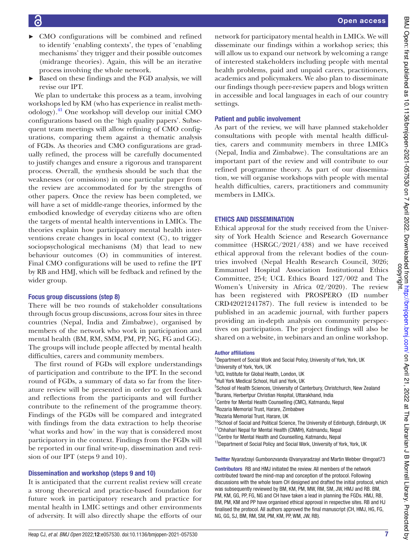network for participatory mental health in LMICs. We will disseminate our findings within a workshop series; this will allow us to expand our network by welcoming a range of interested stakeholders including people with mental health problems, paid and unpaid carers, practitioners, academics and policymakers. We also plan to disseminate our findings though peer-review papers and blogs written in accessible and local languages in each of our country settings. Patient and public involvement As part of the review, we will have planned stakeholder consultations with people with mental health difficulties, carers and community members in three LMICs (Nepal, India and Zimbabwe). The consultations are an important part of the review and will contribute to our refined programme theory. As part of our dissemination, we will organise workshops with people with mental health difficulties, carers, practitioners and community

# ETHICS AND DISSEMINATION

members in LMICs.

Ethical approval for the study received from the University of York Health Science and Research Governance committee (HSRGC/2021/438) and we have received ethical approval from the relevant bodies of the countries involved (Nepal Health Research Council, 3026; Emmanuel Hospital Association Institutional Ethics Committee, 254; UCL Ethics Board 127/002 and The Women's University in Africa 02/2020). The review has been registered with PROSPERO (ID number CRD42021241787). The full review is intended to be published in an academic journal, with further papers providing an in- depth analysis on community perspectives on participation. The project findings will also be shared on a website, in webinars and an online workshop.

#### Author affiliations

<sup>1</sup>Department of Social Work and Social Policy, University of York, York, UK <sup>2</sup>University of York, York, UK <sup>3</sup>UCL Institute for Global Health, London, UK 4 Hull York Medical School, Hull and York, UK <sup>5</sup>School of Health Sciences, University of Canterbury, Christchurch, New Zealand 6 Burans, Herbertpur Christian Hospital, Uttarakhand, India <sup>7</sup> Centre for Mental Health Counselling (CMC), Katmandu, Nepal 8 Rozaria Memorial Trust, Harare, Zimbabwe <sup>9</sup>Rozaria Memorial Trust, Harare, UK <sup>10</sup>School of Social and Political Science, The University of Edinburgh, Edinburgh, UK <sup>11</sup>Chhahari Nepal for Mental Health (CNMH), Katmandu, Nepal <sup>12</sup>Centre for Mental Health and Counselling, Katmandu, Nepal <sup>13</sup>Department of Social Policy and Social Work, University of York, York, UK Twitter Nyaradzayi Gumbonzvanda @vanyaradzayi and Martin Webber @mgoat73 Contributors RB and HMJ initiated the review. All members of the network

contributed toward the mind- map and conception of the protocol. Following discussions with the whole team CH designed and drafted the initial protocol, which was subsequently reviewed by BM, KM, PM, MW, RM, SM, JW, HMJ and RB. BM, PM, KM, GG, PP, FG, NG and CH have taken a lead in planning the FGDs. HMJ, RB, BM, PM, KM and PP have organised ethical approval in respective sites. RB and HJ finalised the protocol. All authors approved the final manuscript (CH, HMJ, HG, FG, NG, GG, SJ, BM, RM, SM, PM, KM, PP, WM, JW, RB).

- ► CMO configurations will be combined and refined to identify 'enabling contexts', the types of 'enabling mechanisms' they trigger and their possible outcomes (midrange theories). Again, this will be an iterative process involving the whole network.
- Based on these findings and the FGD analysis, we will revise our IPT.

We plan to undertake this process as a team, involving workshops led by KM (who has experience in realist methodology).<sup>41</sup> One workshop will develop our initial CMO configurations based on the 'high quality papers'. Subsequent team meetings will allow refining of CMO configurations, comparing them against a thematic analysis of FGDs. As theories and CMO configurations are gradually refined, the process will be carefully documented to justify changes and ensure a rigorous and transparent process. Overall, the synthesis should be such that the weaknesses (or omissions) in one particular paper from the review are accommodated for by the strengths of other papers. Once the review has been completed, we will have a set of middle-range theories, informed by the embodied knowledge of everyday citizens who are often the targets of mental health interventions in LMICs. The theories explain how participatory mental health interventions create changes in local context (C), to trigger sociopsychological mechanisms (M) that lead to new behaviour outcomes (O) in communities of interest. Final CMO configurations will be used to refine the IPT by RB and HMJ, which will be fedback and refined by the wider group.

# Focus group discussions (step 8)

There will be two rounds of stakeholder consultations through focus group discussions, across four sites in three countries (Nepal, India and Zimbabwe), organised by members of the network who work in participation and mental health (BM, RM, SMM, PM, PP, NG, FG and GG). The groups will include people affected by mental health difficulties, carers and community members.

The first round of FGDs will explore understandings of participation and contribute to the IPT. In the second round of FGDs, a summary of data so far from the literature review will be presented in order to get feedback and reflections from the participants and will further contribute to the refinement of the programme theory. Findings of the FGDs will be compared and integrated with findings from the data extraction to help theorise 'what works and how' in the way that is considered most participatory in the context. Findings from the FGDs will be reported in our final write-up, dissemination and revision of our IPT (steps 9 and 10).

# Dissemination and workshop (steps 9 and 10)

It is anticipated that the current realist review will create a strong theoretical and practice- based foundation for future work in participatory research and practice for mental health in LMIC settings and other environments of adversity. It will also directly shape the efforts of our